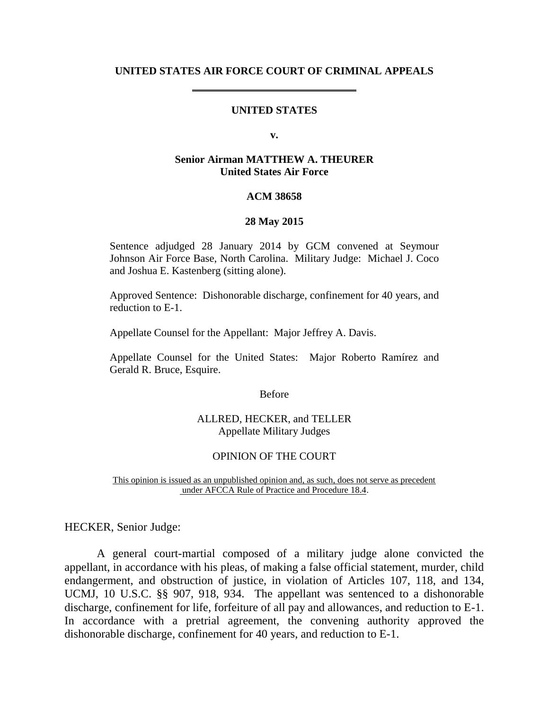### **UNITED STATES AIR FORCE COURT OF CRIMINAL APPEALS**

# **UNITED STATES**

**v.**

## **Senior Airman MATTHEW A. THEURER United States Air Force**

### **ACM 38658**

#### **28 May 2015**

Sentence adjudged 28 January 2014 by GCM convened at Seymour Johnson Air Force Base, North Carolina. Military Judge: Michael J. Coco and Joshua E. Kastenberg (sitting alone).

Approved Sentence: Dishonorable discharge, confinement for 40 years, and reduction to E-1.

Appellate Counsel for the Appellant: Major Jeffrey A. Davis.

Appellate Counsel for the United States: Major Roberto Ramírez and Gerald R. Bruce, Esquire.

Before

### ALLRED, HECKER, and TELLER Appellate Military Judges

#### OPINION OF THE COURT

This opinion is issued as an unpublished opinion and, as such, does not serve as precedent under AFCCA Rule of Practice and Procedure 18.4.

HECKER, Senior Judge:

A general court-martial composed of a military judge alone convicted the appellant, in accordance with his pleas, of making a false official statement, murder, child endangerment, and obstruction of justice, in violation of Articles 107, 118, and 134, UCMJ, 10 U.S.C. §§ 907, 918, 934. The appellant was sentenced to a dishonorable discharge, confinement for life, forfeiture of all pay and allowances, and reduction to E-1. In accordance with a pretrial agreement, the convening authority approved the dishonorable discharge, confinement for 40 years, and reduction to E-1.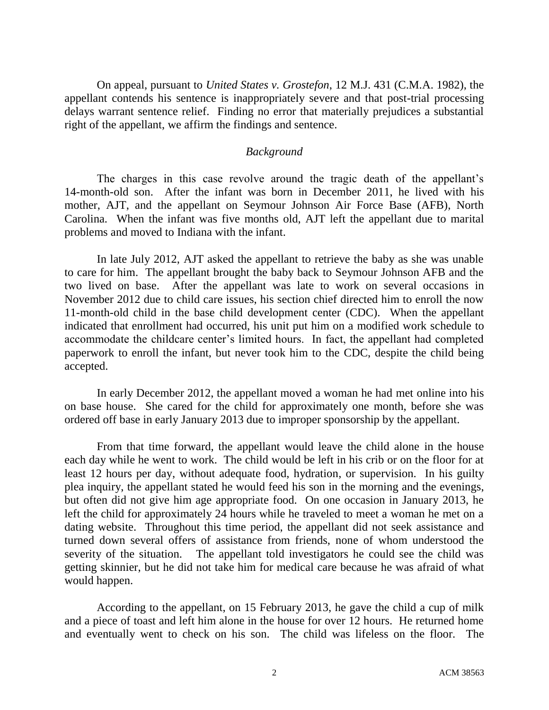On appeal, pursuant to *United States v. Grostefon*, 12 M.J. 431 (C.M.A. 1982), the appellant contends his sentence is inappropriately severe and that post-trial processing delays warrant sentence relief. Finding no error that materially prejudices a substantial right of the appellant, we affirm the findings and sentence.

## *Background*

The charges in this case revolve around the tragic death of the appellant's 14-month-old son. After the infant was born in December 2011, he lived with his mother, AJT, and the appellant on Seymour Johnson Air Force Base (AFB), North Carolina. When the infant was five months old, AJT left the appellant due to marital problems and moved to Indiana with the infant.

In late July 2012, AJT asked the appellant to retrieve the baby as she was unable to care for him. The appellant brought the baby back to Seymour Johnson AFB and the two lived on base. After the appellant was late to work on several occasions in November 2012 due to child care issues, his section chief directed him to enroll the now 11-month-old child in the base child development center (CDC). When the appellant indicated that enrollment had occurred, his unit put him on a modified work schedule to accommodate the childcare center's limited hours. In fact, the appellant had completed paperwork to enroll the infant, but never took him to the CDC, despite the child being accepted.

In early December 2012, the appellant moved a woman he had met online into his on base house. She cared for the child for approximately one month, before she was ordered off base in early January 2013 due to improper sponsorship by the appellant.

From that time forward, the appellant would leave the child alone in the house each day while he went to work. The child would be left in his crib or on the floor for at least 12 hours per day, without adequate food, hydration, or supervision. In his guilty plea inquiry, the appellant stated he would feed his son in the morning and the evenings, but often did not give him age appropriate food. On one occasion in January 2013, he left the child for approximately 24 hours while he traveled to meet a woman he met on a dating website. Throughout this time period, the appellant did not seek assistance and turned down several offers of assistance from friends, none of whom understood the severity of the situation. The appellant told investigators he could see the child was getting skinnier, but he did not take him for medical care because he was afraid of what would happen.

According to the appellant, on 15 February 2013, he gave the child a cup of milk and a piece of toast and left him alone in the house for over 12 hours. He returned home and eventually went to check on his son. The child was lifeless on the floor. The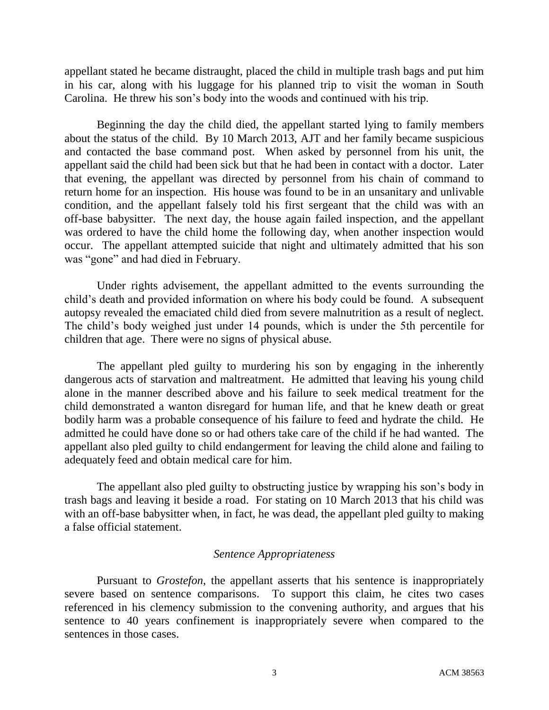appellant stated he became distraught, placed the child in multiple trash bags and put him in his car, along with his luggage for his planned trip to visit the woman in South Carolina. He threw his son's body into the woods and continued with his trip.

Beginning the day the child died, the appellant started lying to family members about the status of the child. By 10 March 2013, AJT and her family became suspicious and contacted the base command post. When asked by personnel from his unit, the appellant said the child had been sick but that he had been in contact with a doctor. Later that evening, the appellant was directed by personnel from his chain of command to return home for an inspection. His house was found to be in an unsanitary and unlivable condition, and the appellant falsely told his first sergeant that the child was with an off-base babysitter. The next day, the house again failed inspection, and the appellant was ordered to have the child home the following day, when another inspection would occur. The appellant attempted suicide that night and ultimately admitted that his son was "gone" and had died in February.

Under rights advisement, the appellant admitted to the events surrounding the child's death and provided information on where his body could be found. A subsequent autopsy revealed the emaciated child died from severe malnutrition as a result of neglect. The child's body weighed just under 14 pounds, which is under the 5th percentile for children that age. There were no signs of physical abuse.

The appellant pled guilty to murdering his son by engaging in the inherently dangerous acts of starvation and maltreatment. He admitted that leaving his young child alone in the manner described above and his failure to seek medical treatment for the child demonstrated a wanton disregard for human life, and that he knew death or great bodily harm was a probable consequence of his failure to feed and hydrate the child. He admitted he could have done so or had others take care of the child if he had wanted. The appellant also pled guilty to child endangerment for leaving the child alone and failing to adequately feed and obtain medical care for him.

The appellant also pled guilty to obstructing justice by wrapping his son's body in trash bags and leaving it beside a road. For stating on 10 March 2013 that his child was with an off-base babysitter when, in fact, he was dead, the appellant pled guilty to making a false official statement.

## *Sentence Appropriateness*

Pursuant to *Grostefon*, the appellant asserts that his sentence is inappropriately severe based on sentence comparisons. To support this claim, he cites two cases referenced in his clemency submission to the convening authority, and argues that his sentence to 40 years confinement is inappropriately severe when compared to the sentences in those cases.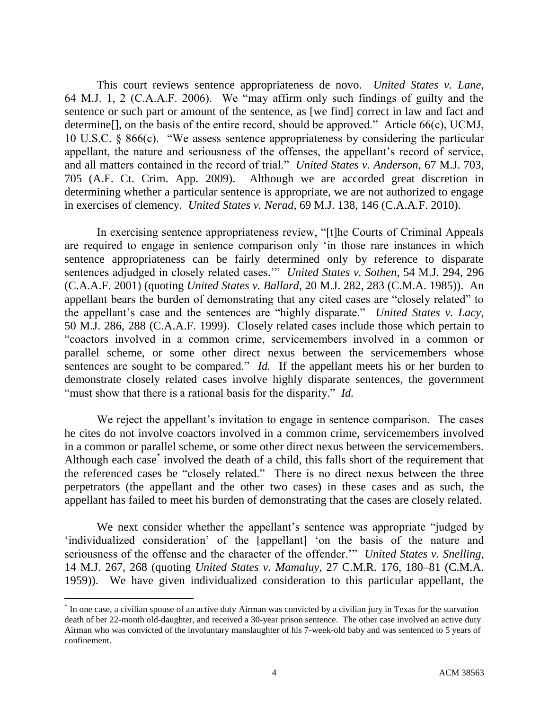This court reviews sentence appropriateness de novo. *United States v. Lane*, 64 M.J. 1, 2 (C.A.A.F. 2006). We "may affirm only such findings of guilty and the sentence or such part or amount of the sentence, as [we find] correct in law and fact and determine. The basis of the entire record, should be approved." Article 66(c), UCMJ, 10 U.S.C. § 866(c). "We assess sentence appropriateness by considering the particular appellant, the nature and seriousness of the offenses, the appellant's record of service, and all matters contained in the record of trial." *United States v. Anderson*, 67 M.J. 703, 705 (A.F. Ct. Crim. App. 2009). Although we are accorded great discretion in determining whether a particular sentence is appropriate, we are not authorized to engage in exercises of clemency. *United States v. Nerad*, 69 M.J. 138, 146 (C.A.A.F. 2010).

In exercising sentence appropriateness review, "[t]he Courts of Criminal Appeals are required to engage in sentence comparison only 'in those rare instances in which sentence appropriateness can be fairly determined only by reference to disparate sentences adjudged in closely related cases.'" *United States v. Sothen*, 54 M.J. 294, 296 (C.A.A.F. 2001) (quoting *United States v. Ballard*, 20 M.J. 282, 283 (C.M.A. 1985)). An appellant bears the burden of demonstrating that any cited cases are "closely related" to the appellant's case and the sentences are "highly disparate." *United States v. Lacy*, 50 M.J. 286, 288 (C.A.A.F. 1999). Closely related cases include those which pertain to "coactors involved in a common crime, servicemembers involved in a common or parallel scheme, or some other direct nexus between the servicemembers whose sentences are sought to be compared." *Id.* If the appellant meets his or her burden to demonstrate closely related cases involve highly disparate sentences, the government "must show that there is a rational basis for the disparity." *Id.*

We reject the appellant's invitation to engage in sentence comparison. The cases he cites do not involve coactors involved in a common crime, servicemembers involved in a common or parallel scheme, or some other direct nexus between the servicemembers. Although each case<sup>\*</sup> involved the death of a child, this falls short of the requirement that the referenced cases be "closely related." There is no direct nexus between the three perpetrators (the appellant and the other two cases) in these cases and as such, the appellant has failed to meet his burden of demonstrating that the cases are closely related.

We next consider whether the appellant's sentence was appropriate "judged by 'individualized consideration' of the [appellant] 'on the basis of the nature and seriousness of the offense and the character of the offender.'" *United States v. Snelling*, 14 M.J. 267, 268 (quoting *United States v. Mamaluy*, 27 C.M.R. 176, 180–81 (C.M.A. 1959)). We have given individualized consideration to this particular appellant, the

 $\overline{a}$ 

<sup>\*</sup> In one case, a civilian spouse of an active duty Airman was convicted by a civilian jury in Texas for the starvation death of her 22-month old-daughter, and received a 30-year prison sentence. The other case involved an active duty Airman who was convicted of the involuntary manslaughter of his 7-week-old baby and was sentenced to 5 years of confinement.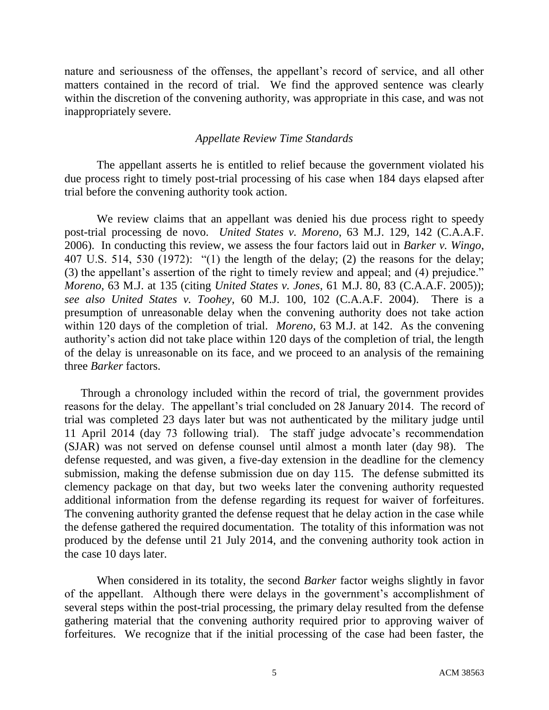nature and seriousness of the offenses, the appellant's record of service, and all other matters contained in the record of trial. We find the approved sentence was clearly within the discretion of the convening authority, was appropriate in this case, and was not inappropriately severe.

# *Appellate Review Time Standards*

The appellant asserts he is entitled to relief because the government violated his due process right to timely post-trial processing of his case when 184 days elapsed after trial before the convening authority took action.

We review claims that an appellant was denied his due process right to speedy post-trial processing de novo. *United States v. Moreno*, 63 M.J. 129, 142 (C.A.A.F. 2006). In conducting this review, we assess the four factors laid out in *Barker v. Wingo*, 407 U.S. 514, 530 (1972): "(1) the length of the delay; (2) the reasons for the delay; (3) the appellant's assertion of the right to timely review and appeal; and (4) prejudice." *Moreno*, 63 M.J. at 135 (citing *United States v. Jones*, 61 M.J. 80, 83 (C.A.A.F. 2005)); *see also United States v. Toohey*, 60 M.J. 100, 102 (C.A.A.F. 2004). There is a presumption of unreasonable delay when the convening authority does not take action within 120 days of the completion of trial. *Moreno*, 63 M.J. at 142. As the convening authority's action did not take place within 120 days of the completion of trial, the length of the delay is unreasonable on its face, and we proceed to an analysis of the remaining three *Barker* factors.

Through a chronology included within the record of trial, the government provides reasons for the delay. The appellant's trial concluded on 28 January 2014. The record of trial was completed 23 days later but was not authenticated by the military judge until 11 April 2014 (day 73 following trial). The staff judge advocate's recommendation (SJAR) was not served on defense counsel until almost a month later (day 98). The defense requested, and was given, a five-day extension in the deadline for the clemency submission, making the defense submission due on day 115. The defense submitted its clemency package on that day, but two weeks later the convening authority requested additional information from the defense regarding its request for waiver of forfeitures. The convening authority granted the defense request that he delay action in the case while the defense gathered the required documentation. The totality of this information was not produced by the defense until 21 July 2014, and the convening authority took action in the case 10 days later.

When considered in its totality, the second *Barker* factor weighs slightly in favor of the appellant. Although there were delays in the government's accomplishment of several steps within the post-trial processing, the primary delay resulted from the defense gathering material that the convening authority required prior to approving waiver of forfeitures. We recognize that if the initial processing of the case had been faster, the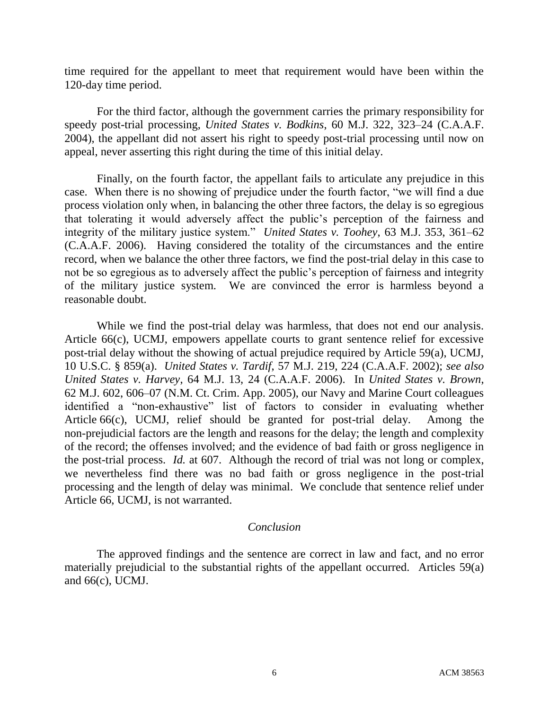time required for the appellant to meet that requirement would have been within the 120-day time period.

For the third factor, although the government carries the primary responsibility for speedy post-trial processing, *United States v. Bodkins*, 60 M.J. 322, 323–24 (C.A.A.F. 2004), the appellant did not assert his right to speedy post-trial processing until now on appeal, never asserting this right during the time of this initial delay.

Finally, on the fourth factor, the appellant fails to articulate any prejudice in this case. When there is no showing of prejudice under the fourth factor, "we will find a due process violation only when, in balancing the other three factors, the delay is so egregious that tolerating it would adversely affect the public's perception of the fairness and integrity of the military justice system." *United States v. Toohey*, 63 M.J. 353, 361–62 (C.A.A.F. 2006). Having considered the totality of the circumstances and the entire record, when we balance the other three factors, we find the post-trial delay in this case to not be so egregious as to adversely affect the public's perception of fairness and integrity of the military justice system. We are convinced the error is harmless beyond a reasonable doubt.

While we find the post-trial delay was harmless, that does not end our analysis. Article 66(c), UCMJ, empowers appellate courts to grant sentence relief for excessive post-trial delay without the showing of actual prejudice required by Article 59(a), UCMJ, 10 U.S.C. § 859(a). *United States v. Tardif*, 57 M.J. 219, 224 (C.A.A.F. 2002); *see also United States v. Harvey*, 64 M.J. 13, 24 (C.A.A.F. 2006). In *United States v. Brown*, 62 M.J. 602, 606–07 (N.M. Ct. Crim. App. 2005), our Navy and Marine Court colleagues identified a "non-exhaustive" list of factors to consider in evaluating whether Article 66(c), UCMJ, relief should be granted for post-trial delay. Among the non-prejudicial factors are the length and reasons for the delay; the length and complexity of the record; the offenses involved; and the evidence of bad faith or gross negligence in the post-trial process. *Id.* at 607. Although the record of trial was not long or complex, we nevertheless find there was no bad faith or gross negligence in the post-trial processing and the length of delay was minimal. We conclude that sentence relief under Article 66, UCMJ, is not warranted.

# *Conclusion*

The approved findings and the sentence are correct in law and fact, and no error materially prejudicial to the substantial rights of the appellant occurred. Articles 59(a) and 66(c), UCMJ.